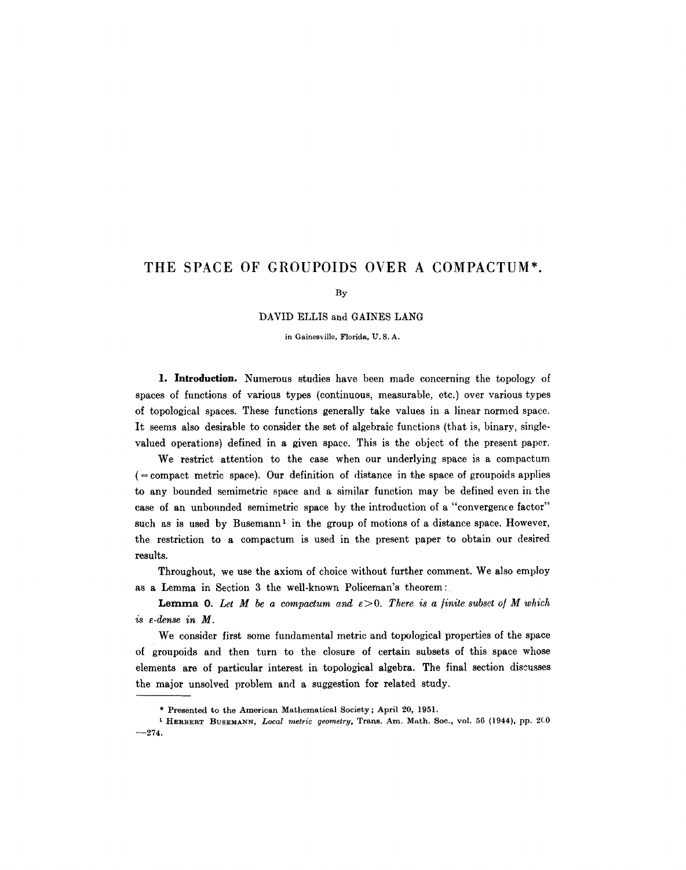# **THE** SPACE OF GROUPOIDS OVER A COMPACTUM\*

By

DAVID ELLIS and GAINES LANG

in Gainesville, Florida, U. S. A.

1. Introduction. Numerous studies have been made concerning the topology of spaces of functions of various types (continuous, measurable, etc.) over various types of topological spaces. These functions generally take values in a linear normcd space. It seems also desirable to consider the set of algebraic functions (that is, binary, singlevalued operations) defined in a given space. This is the object of the present paper.

We restrict attention to the case when our underlying space is a compactum  $($  = compact metric space). Our definition of distance in the space of groupoids applies to any bounded semimetric space and a similar function may be defined even in the case of an unbounded semimetric space by the introduction of a "convergence factor" such as is used by Busemann<sup>1</sup> in the group of motions of a distance space. However, the restriction to a compactum is used in the present paper to obtain our desired results.

Throughout, we use the axiom of choice without further comment. We also employ as a Lemma in Section 3 the well-known Policeman's theorem:

**Lemma 0.** Let M be a compactum and  $\varepsilon > 0$ . There is a finite subset of M which *is e-dense in M.* 

We consider first some fundamental metric and topological properties of the space of groupoids and then turn to the closure of certain subsets of this space whose elements are of particular interest in topological algebra. The final section discusses the major unsolved problem and a suggestion for related study.

<sup>\*</sup> Presented to the American Mathcmatical Society; April 20, 1951.

<sup>&</sup>lt;sup>1</sup> HERBERT BUSEMANN, *Local metric geometry*, Trans. Am. Math. Soc., vol. 56 (1944), pp. 200  $-274.$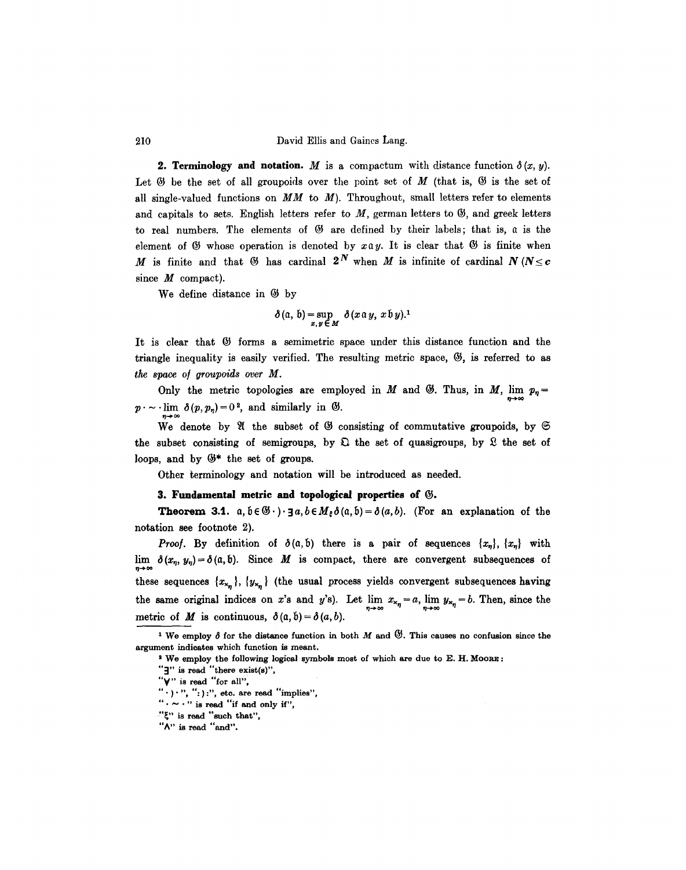210 David Ellis and Gaines Lang.

**2. Terminology and notation.** M is a compactum with distance function  $\delta(x, y)$ . Let  $\Im$  be the set of all groupoids over the point set of M (that is,  $\Im$  is the set of all single-valued functions on  $MM$  to  $M$ ). Throughout, small letters refer to elements and capitals to sets. English letters refer to  $M$ , german letters to  $\mathfrak{G}$ , and greek letters to real numbers. The elements of  $\mathfrak G$  are defined by their labels; that is,  $\mathfrak a$  is the element of  $\mathfrak G$  whose operation is denoted by  $x \mathfrak a y$ . It is clear that  $\mathfrak G$  is finite when M is finite and that  $\mathfrak{G}$  has cardinal  $2^N$  when M is infinite of cardinal  $N$  ( $N \leq c$ since  $M$  compact).

We define distance in  $\mathfrak{G}$  by

n→∞

$$
\delta(\mathfrak{a},\,\mathfrak{b})=\sup_{x,\,y\,\in\,M}\delta(x\,\mathfrak{a}\,y,\,x\,\mathfrak{b}\,y).1
$$

It is clear that  $\mathfrak G$  forms a semimetric space under this distance function and the triangle inequality is easily verified. The resulting metric space,  $\mathfrak{G}$ , is referred to as *the space of groupoids over M.* 

Only the metric topologies are employed in M and  $\mathfrak{G}$ . Thus, in M, lim  $p_{\eta} =$  $p \cdot \sim \text{lim} \delta(p, p_{\eta}) = 0^2$ , and similarly in  $\mathfrak{G}$ .

We denote by  $\mathfrak A$  the subset of  $\mathfrak G$  consisting of commutative groupoids, by  $\mathfrak S$ the subset consisting of semigroups, by  $\mathfrak{D}$  the set of quasigroups, by  $\mathfrak{D}$  the set of loops, and by  $\mathfrak{G}^*$  the set of groups.

Other terminology and notation will be introduced as needed.

#### **3. Fundamental metric and topological properties of** 63.

**Theorem 3.1.**  $a, b \in \mathcal{B} \cdot \cdot \cdot$  **3** $a, b \in M_{\xi} \delta(a, b) = \delta(a, b)$ . (For an explanation of the notation see footnote 2).

*Proof.* By definition of  $\delta(a,b)$  there is a pair of sequences  $\{x_n\}$ ,  $\{x_n\}$  with lim  $\delta(x_n, y_n) = \delta(a, b)$ . Since M is compact, there are convergent subsequences of these sequences  ${x_{x_n}}$ ,  ${y_{x_n}}$  (the usual process yields convergent subsequences having the same original indices on x's and y's). Let  $\lim_{n\to\infty} x_{\kappa_n} = a$ ,  $\lim_{n\to\infty} y_{\kappa_n} = b$ . Then, since the metric of M is continuous,  $\delta(\alpha, \delta) = \delta(a, b)$ .

" $\cdot \sim \cdot$ " is read "if and only if",

<sup>&</sup>lt;sup>1</sup> We employ  $\delta$  for the distance function in both M and  $\mathfrak{G}$ . This causes no confusion since the argument indicates which function is meant.

a We employ the following logical symbols most of which are due to E. H. MOORE :

<sup>&</sup>quot;]" is read "there exist(s)",

<sup>&</sup>quot;V" is read "for all",

 $"$  ' $'$ '', '', ''; '', etc. are read "implies",

<sup>&</sup>quot;"" is read "such that",

<sup>&</sup>quot;A" is read "and".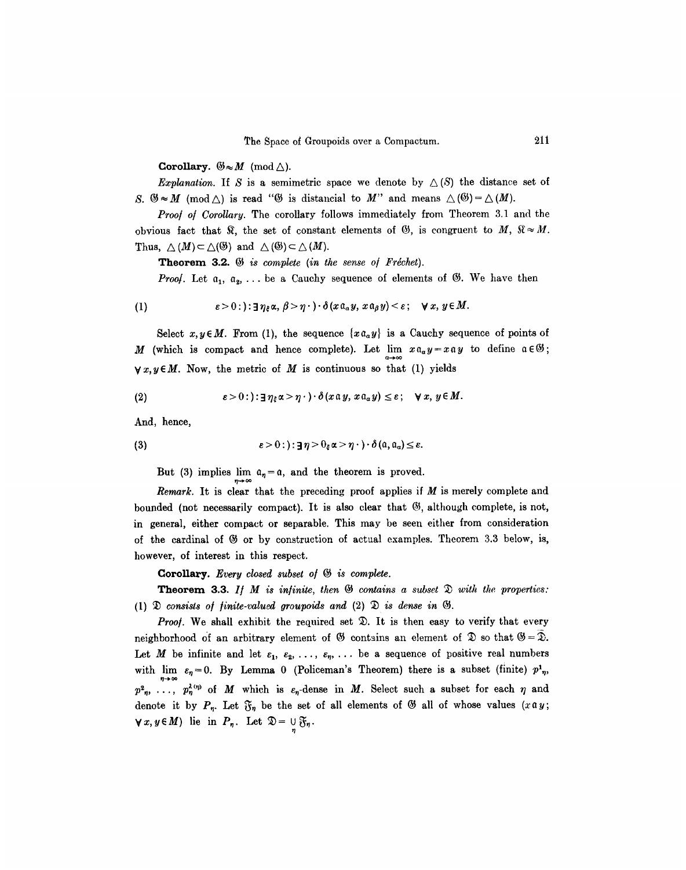Corollary.  $\mathfrak{G} \approx M \pmod{\triangle}$ .

*Explanation.* If S is a semimetric space we denote by  $\triangle(S)$  the distance set of S.  $\mathfrak{B} \approx M$  (mod  $\triangle$ ) is read " $\mathfrak{B}$  is distancial to M" and means  $\triangle$  ( $\mathfrak{B}$ ) =  $\triangle$  (M).

*Proof of Corollary.* The corollary follows immediately from Theorem 3.1 and the obvious fact that  $\Re$ , the set of constant elements of  $\Im$ , is congruent to  $M$ ,  $\Re \approx M$ . Thus,  $\Delta(M) \subset \Delta(\mathfrak{G})$  and  $\Delta(\mathfrak{G}) \subset \Delta(M)$ .

Theorem 3.2.  $\mathfrak{G}$  *is complete (in the sense of Fréchet).* 

*Proof.* Let  $a_1, a_2, \ldots$  be a Cauchy sequence of elements of  $\emptyset$ . We have then

(1) 
$$
\varepsilon > 0: \, : \exists \, \eta_{\varepsilon} \alpha, \, \beta > \eta \cdot \cdot \cdot \delta(x \mathfrak{a}_{\alpha} y, \, x \mathfrak{a}_{\beta} y) < \varepsilon; \quad \forall \, x, \, y \in M.
$$

Select  $x, y \in M$ . From (1), the sequence  $\{x \mathfrak{a}_a y\}$  is a Cauchy sequence of points of M (which is compact and hence complete). Let  $\lim_{a\to\infty} x a_a y = x a y$  to define  $a \in \mathcal{B}$ ;  $\forall x, y \in M$ . Now, the metric of M is continuous so that (1) yields

(2) 
$$
\varepsilon > 0: \frac{\varepsilon}{\varepsilon} \eta_{\varepsilon} \alpha > \eta \cdot \frac{\varepsilon}{\varepsilon} \alpha \alpha y, \quad x \alpha_{\alpha} y \leq \varepsilon; \quad \forall x, y \in M.
$$

And, hence,

(3) 
$$
\varepsilon > 0: : \mathbf{J}\eta > 0_{\varepsilon} \alpha > \eta \cdot \mathbf{0} \cdot (\mathbf{a}, \mathbf{a}_{\alpha}) \leq \varepsilon.
$$

But (3) implies lim  $a_n = a$ , and the theorem is proved.

*Remark.* It is clear that the preceding proof applies if M is merely complete and bounded (not necessarily compact). It is also clear that  $\mathfrak{G}$ , although complete, is not, in general, either compact or separable. This may be seen either from consideration of the cardinal of  $$\circ$$  or by construction of actual examples. Theorem 3.3 below, is, however, of interest in this respect.

Corollary. *Every closed subset of*  $\mathfrak{G}$  is complete.

**Theorem 3.3.** *If M is infinite, then*  $\mathcal{B}$  contains a subset  $\mathcal{D}$  with the properties: (1)  $\mathfrak D$  *consists of finite-valued groupoids and* (2)  $\mathfrak D$  *is dense in*  $\mathfrak G$ .

Proof. We shall exhibit the required set  $\mathfrak{D}$ . It is then easy to verify that every neighborhood of an arbitrary element of  $\mathfrak G$  contains an element of  $\mathfrak D$  so that  $\mathfrak G = \mathfrak D$ . Let M be infinite and let  $\varepsilon_1, \varepsilon_2, \ldots, \varepsilon_n, \ldots$  be a sequence of positive real numbers with lim  $\varepsilon_{\eta}=0$ . By Lemma 0 (Policeman's Theorem) there is a subset (finite)  $p^{1}_{\eta}$ ,  $p^2_n$ , ...,  $p^{\lambda(\eta)}_{\eta}$  of M which is  $\varepsilon_{\eta}$ -dense in M. Select such a subset for each  $\eta$  and denote it by  $P_n$ . Let  $\mathfrak{F}_n$  be the set of all elements of  $\mathfrak{G}$  all of whose values (xay;  $\forall x, y \in M$ ) lie in  $P_n$ . Let  $\mathfrak{D} = \bigcup_{\alpha} \mathfrak{F}_n$ .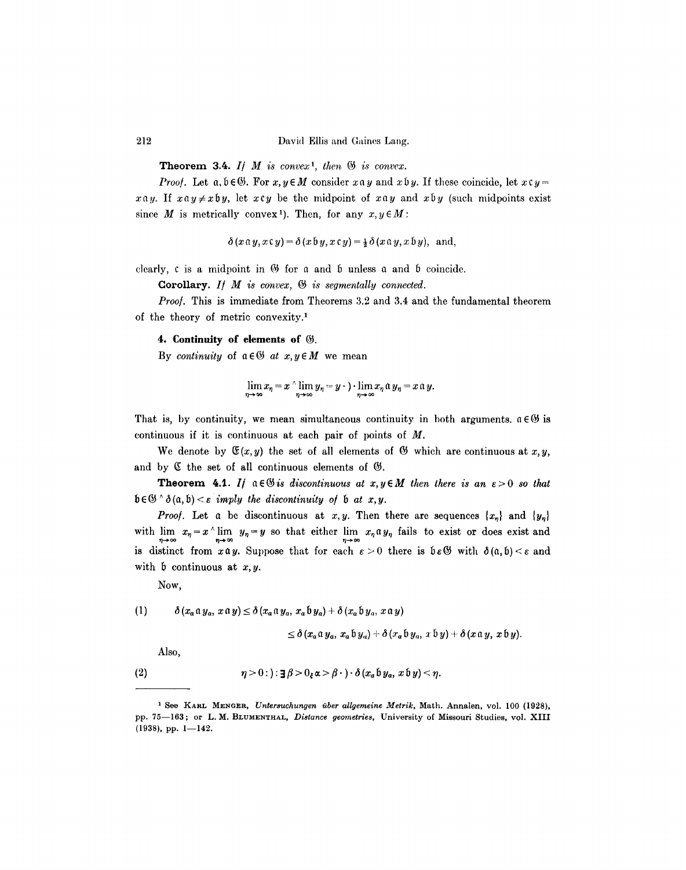212 David Ellis and Gaines Lang.

**Theorem 3.4.** *If M is convex<sup>1</sup>, then*  $\mathfrak{G}$  *is convex.* 

*Proof.* Let  $a, b \in \mathcal{B}$ . For  $x, y \in M$  consider  $x \circ y$  and  $x \circ y$ . If these coincide, let  $x \circ y =$  $x \alpha y$ . If  $x \alpha y \neq x \beta y$ , let  $x \alpha y$  be the midpoint of  $x \alpha y$  and  $x \beta y$  (such midpoints exist since M is metrically convex<sup>1</sup>). Then, for any  $x, y \in M$ :

$$
\delta(x\mathfrak{a} y, x\mathfrak{c} y) = \delta(x\mathfrak{b} y, x\mathfrak{c} y) = \frac{1}{2}\delta(x\mathfrak{a} y, x\mathfrak{b} y), \text{ and,}
$$

clearly,  $c$  is a midpoint in  $\Theta$  for a and  $\mathfrak b$  unless a and  $\mathfrak b$  coincide.

Corollary. *If M is convex,*  $\mathfrak{G}$  is segmentally connected.

*Proo/.* This is immediate from Theorems 3.2 and 3.4 and the fundamental theorem of the theory of metric convexity.<sup>1</sup>

### **4. Continuity of elements of** 63.

By *continuity* of  $a \in \mathcal{B}$  *at*  $x, y \in M$  we mean

$$
\lim_{\eta\to\infty}x_{\eta}=x\wedge\lim_{\eta\to\infty}y_{\eta}=y\cdot\cdot\lim_{\eta\to\infty}x_{\eta}\alpha y_{\eta}=x\alpha y.
$$

That is, by continuity, we mean simultaneous continuity in both arguments,  $a \in \mathcal{G}$  is continuous if it is continuous at each pair of points of M.

We denote by  $\mathfrak{F}(x,y)$  the set of all elements of  $\mathfrak{G}$  which are continuous at  $x,y$ , and by  $\mathfrak C$  the set of all continuous elements of  $\mathfrak G$ .

**Theorem 4.1.** If  $a \in \mathcal{B}$  is discontinuous at  $x, y \in M$  then there is an  $\varepsilon > 0$  so that  $\mathfrak{b} \in \mathfrak{G} \wedge \mathfrak{d}(\mathfrak{a}, \mathfrak{b}) < \varepsilon$  *imply the discontinuity of*  $\mathfrak{b}$  *at x,y.* 

*Proof.* Let a be discontinuous at  $x, y$ . Then there are sequences  $\{x_n\}$  and  $\{y_n\}$ with  $\lim_{\eta \to \infty} x_{\eta} = x^{\wedge} \lim_{\eta \to \infty} y_{\eta} = y$  so that either  $\lim_{\eta \to \infty} x_{\eta} a y_{\eta}$  fails to exist or does exist and is distinct from  $x \alpha y$ . Suppose that for each  $\varepsilon > 0$  there is  $\delta \varepsilon \mathfrak{G}$  with  $\delta(\alpha, \delta) < \varepsilon$  and with  $\mathfrak b$  continuous at  $x, y$ .

Now,

(1) 
$$
\delta(x_a \mathfrak{a} y_a, x \mathfrak{a} y) \leq \delta(x_a \mathfrak{a} y_a, x_a \mathfrak{b} y_a) + \delta(x_a \mathfrak{b} y_a, x \mathfrak{a} y)
$$

$$
\leq \delta (x_a \mathfrak{a} y_a, x_a \mathfrak{b} y_a) + \delta (x_a \mathfrak{b} y_a, x \mathfrak{b} y) + \delta (x \mathfrak{a} y, x \mathfrak{b} y).
$$

Also,

(2) 
$$
\eta > 0: \mathbf{a} \mathbf{a} > 0, \quad \mathbf{a} > \beta \cdot \mathbf{b} \cdot \mathbf{a} \cdot \mathbf{b} \cdot \mathbf{y}_{\alpha}, \quad x \mathbf{b} \mathbf{y} < \eta.
$$

<sup>&</sup>lt;sup>1</sup> See KARL MENGER, Untersuchungen über allgemeine Metrik, Math. Annalen, vol. 100 (1928), pp. 75-163; or L.M. BLUMENTHAL, *Distance geometries*, University of Missouri Studies, vol. XIII  $(1938)$ , pp. 1-142.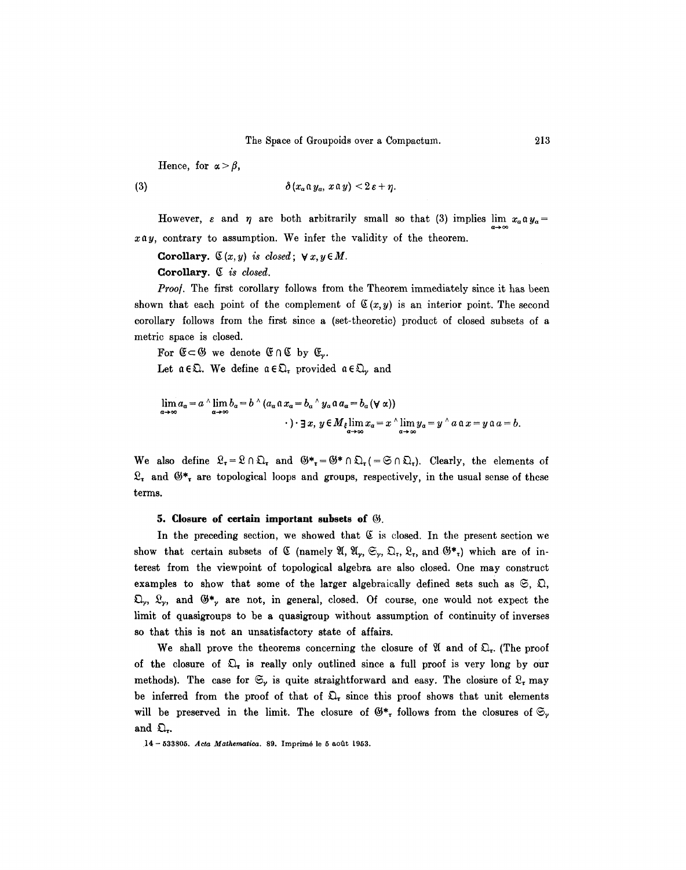Hence, for  $\alpha > \beta$ ,

(3) 
$$
\delta(x_a \mathfrak{a} y_a, x \mathfrak{a} y) < 2\varepsilon + \eta.
$$

However,  $\varepsilon$  and  $\eta$  are both arbitrarily small so that (3) implies lim  $x_a \alpha y_a =$ Q--~ co  $x \alpha y$ , contrary to assumption. We infer the validity of the theorem.

**Corollary.**  $\mathfrak{C}(x, y)$  is closed;  $\forall x, y \in M$ .

Corollary. ~ *is closed.* 

Proof. The first corollary follows from the Theorem immediately since it has been shown that each point of the complement of  $\mathfrak{C}(x, y)$  is an interior point. The second corollary follows from the first since a (set-theoretic) product of closed subsets of a metric space is closed.

For  $\mathfrak{E} \subset \mathfrak{G}$  we denote  $\mathfrak{E} \cap \mathfrak{C}$  by  $\mathfrak{E}_v$ .

Let  $a \in \mathfrak{Q}$ . We define  $a \in \mathfrak{Q}_r$  provided  $a \in \mathfrak{Q}_r$  and

$$
\lim_{\alpha \to \infty} a_{\alpha} = a^{\wedge} \lim_{\alpha \to \infty} b_{\alpha} = b^{\wedge} (a_{\alpha} \mathfrak{a} x_{\alpha} = b_{\alpha}^{\wedge} y_{\alpha} \mathfrak{a} a_{\alpha} = b_{\alpha} (\forall \alpha))
$$
  
 
$$
\cdot \cdot \exists x, y \in M_{\xi} \lim_{\alpha \to \infty} x_{\alpha} = x^{\wedge} \lim_{\alpha \to \infty} y_{\alpha} = y^{\wedge} a \mathfrak{a} x = y \mathfrak{a} a = b.
$$

We also define  $\mathfrak{L}_{\tau} = \mathfrak{L} \cap \mathfrak{L}_{\tau}$  and  $\mathfrak{G}^*_{\tau} = \mathfrak{G}^* \cap \mathfrak{L}_{\tau} = \mathfrak{S} \cap \mathfrak{L}_{\tau}$ . Clearly, the elements of  $\mathfrak{L}_{r}$  and  $\mathfrak{G}^*$ , are topological loops and groups, respectively, in the usual sense of these terms.

#### **5. Closure of certain important subsets of**  $\mathcal{G}$ **.**

In the preceding section, we showed that  $~\mathfrak C$  is closed. In the present section we show that certain subsets of  $\mathfrak C$  (namely  $\mathfrak A, \mathfrak A_r, \mathfrak S_r, \mathfrak D_r, \mathfrak L_r$ , and  $\mathfrak G^*_{r}$ ) which are of interest from the viewpoint of topological algebra are also closed. One may construct examples to show that some of the larger algebraically defined sets such as  $\mathfrak{S}, \mathfrak{Q},$  $\mathfrak{Q}_{\gamma}$ ,  $\mathfrak{L}_{\gamma}$ , and  $\mathfrak{G}*_\gamma$  are not, in general, closed. Of course, one would not expect the limit of quasigroups to be a quasigroup without assumption of continuity of inverses so that this is not an unsatisfactory state of affairs.

We shall prove the theorems concerning the closure of  $\mathfrak A$  and of  $\mathfrak O_r$ . (The proof of the closure of  $\mathfrak{Q}_r$  is really only outlined since a full proof is very long by our methods). The case for  $\mathfrak{S}_r$  is quite straightforward and easy. The closure of  $\mathfrak{L}_r$  may be inferred from the proof of that of  $\mathfrak{L}_{\tau}$  since this proof shows that unit elements will be preserved in the limit. The closure of  $\mathfrak{G}*_r$  follows from the closures of  $\mathfrak{S}_r$ and  $\mathfrak{Q}_r$ .

!4- 533805. *Aeta Mathematica.* 89. Imprim6 le 5 aotit 1953.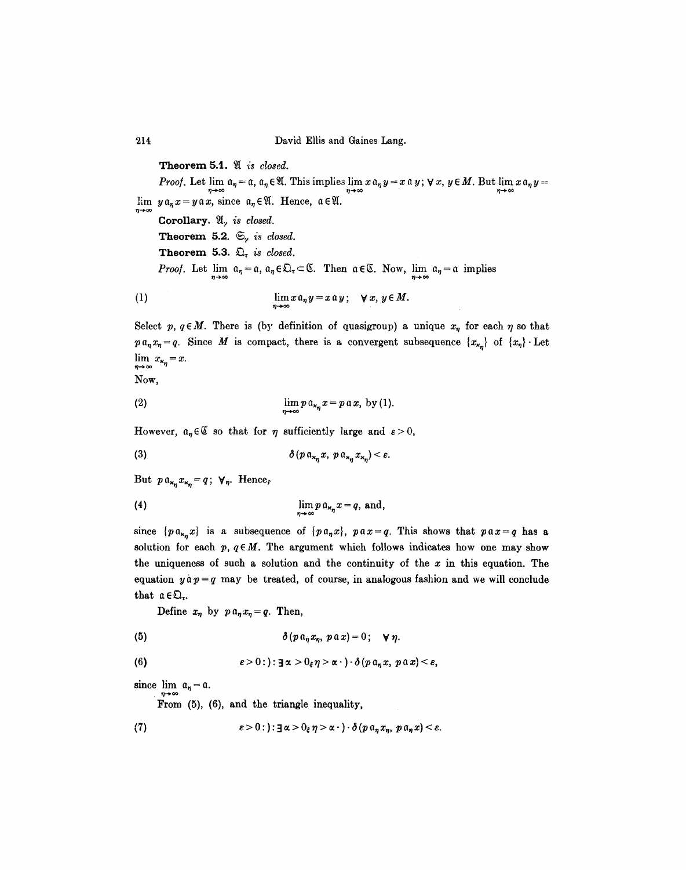214 David Ellis and Gaines Lang.

 $\lim y \mathfrak{a}_n x = y \mathfrak{a} x$ , since  $\mathfrak{a}_n \in \mathfrak{A}$ . Hence,  $\mathfrak{a} \in \mathfrak{A}$ . **Theorem 5.1.**  $\mathfrak{A}$  *is closed. Proof.* Let  $\lim_{\eta \to \infty} a_{\eta} = \alpha$ ,  $a_{\eta} \in \mathfrak{A}$ . This implies  $\lim_{\eta \to \infty} x a_{\eta} y = x \alpha y$ ;  $\forall x, y \in M$ . But  $\lim_{\eta \to \infty} x a_{\eta} y =$ Corollary.  $\mathfrak{A}_{\nu}$  *is closed.* **Theorem 5.2.**  $\mathfrak{S}_y$  *is closed.* Theorem 5.3.  $\mathfrak{Q}_r$  *is closed. Proof.* Let  $\lim_{n \to \infty} a_n = a$ ,  $a_n \in \mathbb{Q}$ ,  $\subset \mathbb{C}$ . Then  $a \in \mathbb{C}$ . Now,  $\lim_{n \to \infty} a_n = a$  implies (1)  $\lim_{n\to\infty}x\mathfrak{a}_ny=x\mathfrak{a}_y; \quad \forall x, y\in M.$ 

Select p,  $q \in M$ . There is (by definition of quasigroup) a unique  $x_n$  for each  $\eta$  so that  $p \, a_n x_n = q$ . Since M is compact, there is a convergent subsequence  $\{x_{\kappa_n}\}\,$  of  $\{x_n\}\,$  Let  $\lim_{\eta \to \infty} x_{\kappa_{\eta}} = x.$ 

Now,

$$
\lim p \mathfrak{a}_{x_n} x = p \mathfrak{a} x, \text{ by (1)}.
$$

However,  $a_n \in \mathfrak{C}$  so that for  $\eta$  sufficiently large and  $\varepsilon > 0$ ,

(3) 
$$
\delta(p \mathfrak{a}_{\kappa_{\eta}} x, p \mathfrak{a}_{\kappa_{\eta}} x_{\kappa_{\eta}}) < \varepsilon.
$$

But  $p a_{x_n} x_{x_n} = q$ ;  $\forall n$ . Hence,

$$
\lim p a_{x_n} x = q, \text{ and,}
$$

since  ${pa_{x_n}x}$  is a subsequence of  ${pa_nx}$ ,  $pa x = q$ . This shows that  $pa x = q$  has a solution for each  $p, q \in M$ . The argument which follows indicates how one may show the uniqueness of such a solution and the continuity of the  $x$  in this equation. The equation  $y \dot{a} p = q$  may be treated, of course, in analogous fashion and we will conclude that  $a \in \mathfrak{Q}_r$ .

Define  $x_n$  by  $p \, a_n x_n = q$ . Then,

(5) 
$$
\delta(p \mathfrak{a}_n x_n, p \mathfrak{a} x) = 0; \quad \forall \eta.
$$

(6) 
$$
\varepsilon > 0:): \exists \alpha > 0_{\varepsilon} \eta > \alpha \cdot \cdot \cdot \delta(p \mathfrak{a}_{\eta} x, p \mathfrak{a} x) < \varepsilon,
$$

since  $\lim_{n\to\infty} \alpha_n = \alpha$ .

From (5), (6), and the triangle inequality,

(7) 
$$
\varepsilon > 0 : \varepsilon > 0, \quad \varepsilon > 0, \quad \eta > \alpha \cdot \varepsilon > 0 \quad (\rho \alpha_{\eta} x_{\eta}, \, p \alpha_{\eta} x) < \varepsilon.
$$